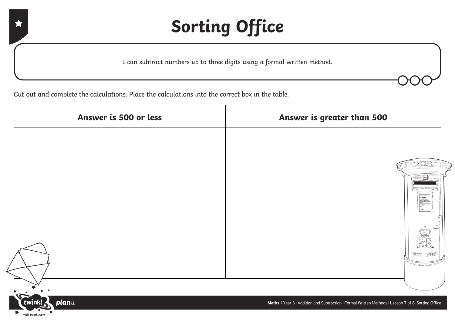I can subtract numbers up to three digits using a formal written method.

Cut out and complete the calculations. Place the calculations into the correct box in the table.

| Answer is 500 or less    | Answer is greater than 500 |
|--------------------------|----------------------------|
|                          |                            |
|                          | 000000000                  |
|                          |                            |
|                          | :30 <sub>pm</sub>          |
|                          |                            |
|                          | POST OFFICE                |
|                          |                            |
| <b>Contract Contract</b> |                            |

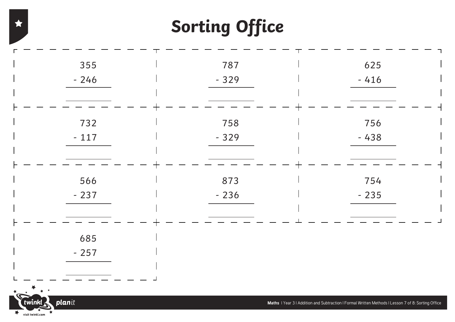| 355                                                                             | 787    | 625                                                                                                |
|---------------------------------------------------------------------------------|--------|----------------------------------------------------------------------------------------------------|
| $-246$                                                                          | $-329$ | $-416$                                                                                             |
|                                                                                 |        |                                                                                                    |
|                                                                                 |        |                                                                                                    |
| 732                                                                             | 758    | 756                                                                                                |
| $-117$                                                                          | $-329$ | $-438$                                                                                             |
|                                                                                 |        |                                                                                                    |
|                                                                                 |        |                                                                                                    |
| 566                                                                             | 873    | 754                                                                                                |
| $-237$                                                                          | $-236$ | $-235$                                                                                             |
|                                                                                 |        |                                                                                                    |
|                                                                                 |        |                                                                                                    |
| 685                                                                             |        |                                                                                                    |
| $-257$                                                                          |        |                                                                                                    |
|                                                                                 |        |                                                                                                    |
| $\begin{array}{ccc}\n\ast & & \ast & \ast \\ \ast & & \ast & \ast\n\end{array}$ |        |                                                                                                    |
| planit<br>$\check{\mathbf{r}}$ twinkl                                           |        | Maths I Year 3 I Addition and Subtraction I Formal Written Methods I Lesson 7 of 8: Sorting Office |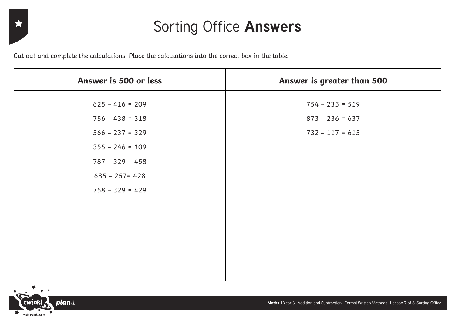#### Sorting Office **Answers**

Cut out and complete the calculations. Place the calculations into the correct box in the table.

| Answer is 500 or less | Answer is greater than 500 |
|-----------------------|----------------------------|
| $625 - 416 = 209$     | $754 - 235 = 519$          |
| $756 - 438 = 318$     | $873 - 236 = 637$          |
| $566 - 237 = 329$     | $732 - 117 = 615$          |
| $355 - 246 = 109$     |                            |
| $787 - 329 = 458$     |                            |
| $685 - 257 = 428$     |                            |
| $758 - 329 = 429$     |                            |
|                       |                            |
|                       |                            |
|                       |                            |
|                       |                            |
|                       |                            |
|                       |                            |



 $\star$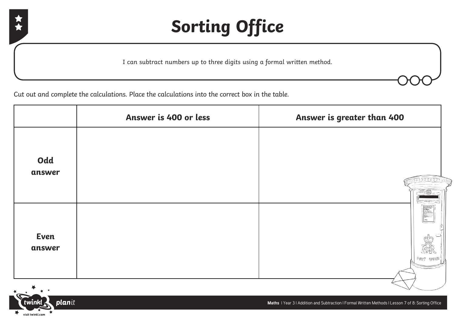

I can subtract numbers up to three digits using a formal written method.

Cut out and complete the calculations. Place the calculations into the correct box in the table.

|                       | Answer is 400 or less | Answer is greater than 400                                                                                                                                                                                                                                    |
|-----------------------|-----------------------|---------------------------------------------------------------------------------------------------------------------------------------------------------------------------------------------------------------------------------------------------------------|
| Odd<br>answer         |                       | 10000000                                                                                                                                                                                                                                                      |
| <b>Even</b><br>answer |                       | Leaf: Collection Views<br>Manding to Friday<br>6:30 pyrs<br>$\begin{array}{l} \textbf{6:30\,pm\,0} \\ \textbf{6:30\,pm\,0} \\ \textbf{6:4:4:720\mu\text{m} \text{ in} \\ \textbf{6:4:8:8:8:8} \\ \textbf{6:4:8:8:8} \end{array}$<br>圖<br>eis<br>$POST$ OFFICE |

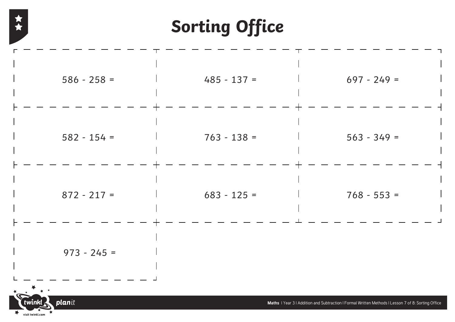大女

| $586 - 258 =$                                   | $485 - 137 =$ | $697 - 249 =$                                                                                      |  |
|-------------------------------------------------|---------------|----------------------------------------------------------------------------------------------------|--|
| $582 - 154 =$                                   | $763 - 138 =$ | $563 - 349 =$                                                                                      |  |
| $872 - 217 =$                                   | $683 - 125 =$ | $768 - 553 =$                                                                                      |  |
| $973 - 245 =$                                   |               |                                                                                                    |  |
| twinkl<br>planit<br>$\bigstar$ visit twinkl.com |               | Maths   Year 3   Addition and Subtraction   Formal Written Methods   Lesson 7 of 8: Sorting Office |  |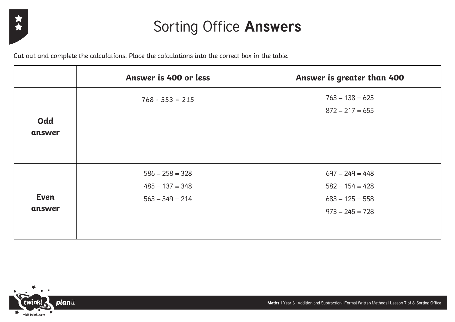

#### Sorting Office **Answers**

Cut out and complete the calculations. Place the calculations into the correct box in the table.

|                       | Answer is 400 or less                                       | Answer is greater than 400                                                       |
|-----------------------|-------------------------------------------------------------|----------------------------------------------------------------------------------|
| Odd<br>answer         | $768 - 553 = 215$                                           | $763 - 138 = 625$<br>$872 - 217 = 655$                                           |
| <b>Even</b><br>answer | $586 - 258 = 328$<br>$485 - 137 = 348$<br>$563 - 349 = 214$ | $697 - 249 = 448$<br>$582 - 154 = 428$<br>$683 - 125 = 558$<br>$973 - 245 = 728$ |

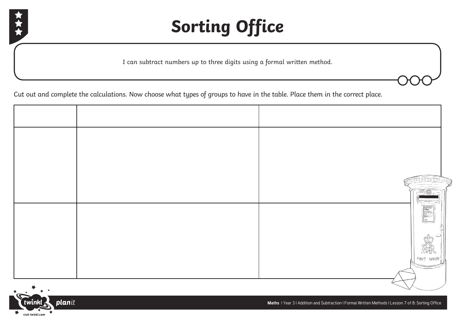



I can subtract numbers up to three digits using a formal written method.

Cut out and complete the calculations. Now choose what types of groups to have in the table. Place them in the correct place.

|  | <b>COLORED FRE</b>                                                                                                                                                                                                                                                                                                                                                             |
|--|--------------------------------------------------------------------------------------------------------------------------------------------------------------------------------------------------------------------------------------------------------------------------------------------------------------------------------------------------------------------------------|
|  | $\begin{tabular}{ c c c c } \hline \rule{0pt}{2.5ex} \rule{0pt}{2.5ex} \rule{0pt}{2.5ex} \rule{0pt}{2.5ex} \rule{0pt}{2.5ex} \rule{0pt}{2.5ex} \rule{0pt}{2.5ex} \rule{0pt}{2.5ex} \rule{0pt}{2.5ex} \rule{0pt}{2.5ex} \rule{0pt}{2.5ex} \rule{0pt}{2.5ex} \rule{0pt}{2.5ex} \rule{0pt}{2.5ex} \rule{0pt}{2.5ex} \rule{0pt}{2.5ex} \rule{0pt}{2.5ex} \rule{0pt}{2.5ex} \rule{$ |
|  | ſĩ<br><b>REGIS</b>                                                                                                                                                                                                                                                                                                                                                             |
|  | 廊<br>$P$ 087 (UFFICE                                                                                                                                                                                                                                                                                                                                                           |
|  |                                                                                                                                                                                                                                                                                                                                                                                |

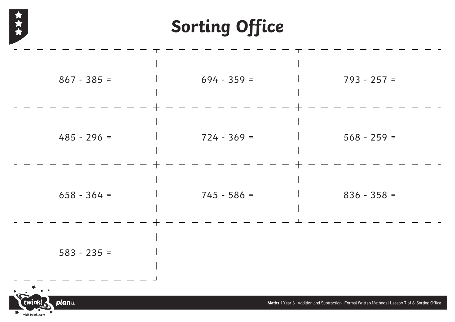

| $867 - 385 =$                                                                                            | $694 - 359 =$ | $793 - 257 =$                                                                                      |
|----------------------------------------------------------------------------------------------------------|---------------|----------------------------------------------------------------------------------------------------|
| $485 - 296 =$                                                                                            | $724 - 369 =$ | $568 - 259 =$                                                                                      |
| $658 - 364 =$                                                                                            | $745 - 586 =$ | $836 - 358 =$                                                                                      |
| $583 - 235 =$                                                                                            |               |                                                                                                    |
| $*$ $*$ $*$<br>planit<br>$\check{\mathbf{I}}$ twinkl $\mathbf{\mathbf{I}}$<br>大<br>¥<br>visit twinkl.com |               | Maths I Year 3 I Addition and Subtraction I Formal Written Methods I Lesson 7 of 8: Sorting Office |